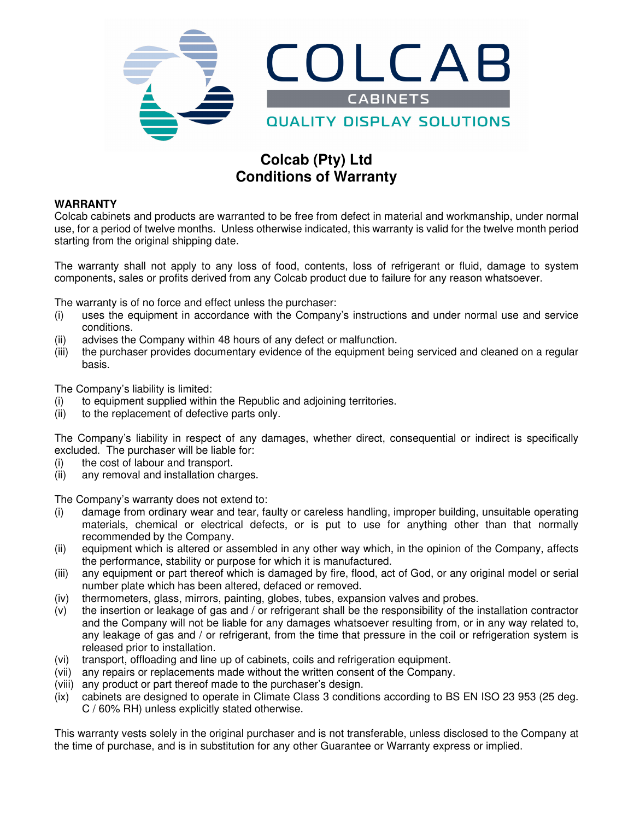

# **Colcab (Pty) Ltd Conditions of Warranty**

## **WARRANTY**

Colcab cabinets and products are warranted to be free from defect in material and workmanship, under normal use, for a period of twelve months. Unless otherwise indicated, this warranty is valid for the twelve month period starting from the original shipping date.

The warranty shall not apply to any loss of food, contents, loss of refrigerant or fluid, damage to system components, sales or profits derived from any Colcab product due to failure for any reason whatsoever.

The warranty is of no force and effect unless the purchaser:

- (i) uses the equipment in accordance with the Company's instructions and under normal use and service conditions.
- (ii) advises the Company within 48 hours of any defect or malfunction.
- (iii) the purchaser provides documentary evidence of the equipment being serviced and cleaned on a regular basis.

The Company's liability is limited:

- (i) to equipment supplied within the Republic and adjoining territories.
- (ii) to the replacement of defective parts only.

The Company's liability in respect of any damages, whether direct, consequential or indirect is specifically excluded. The purchaser will be liable for:

- (i) the cost of labour and transport.
- (ii) any removal and installation charges.

The Company's warranty does not extend to:

- (i) damage from ordinary wear and tear, faulty or careless handling, improper building, unsuitable operating materials, chemical or electrical defects, or is put to use for anything other than that normally recommended by the Company.
- (ii) equipment which is altered or assembled in any other way which, in the opinion of the Company, affects the performance, stability or purpose for which it is manufactured.
- (iii) any equipment or part thereof which is damaged by fire, flood, act of God, or any original model or serial number plate which has been altered, defaced or removed.
- (iv) thermometers, glass, mirrors, painting, globes, tubes, expansion valves and probes.
- (v) the insertion or leakage of gas and / or refrigerant shall be the responsibility of the installation contractor and the Company will not be liable for any damages whatsoever resulting from, or in any way related to, any leakage of gas and / or refrigerant, from the time that pressure in the coil or refrigeration system is released prior to installation.
- (vi) transport, offloading and line up of cabinets, coils and refrigeration equipment.
- (vii) any repairs or replacements made without the written consent of the Company.
- (viii) any product or part thereof made to the purchaser's design.
- (ix) cabinets are designed to operate in Climate Class 3 conditions according to BS EN ISO 23 953 (25 deg. C / 60% RH) unless explicitly stated otherwise.

This warranty vests solely in the original purchaser and is not transferable, unless disclosed to the Company at the time of purchase, and is in substitution for any other Guarantee or Warranty express or implied.